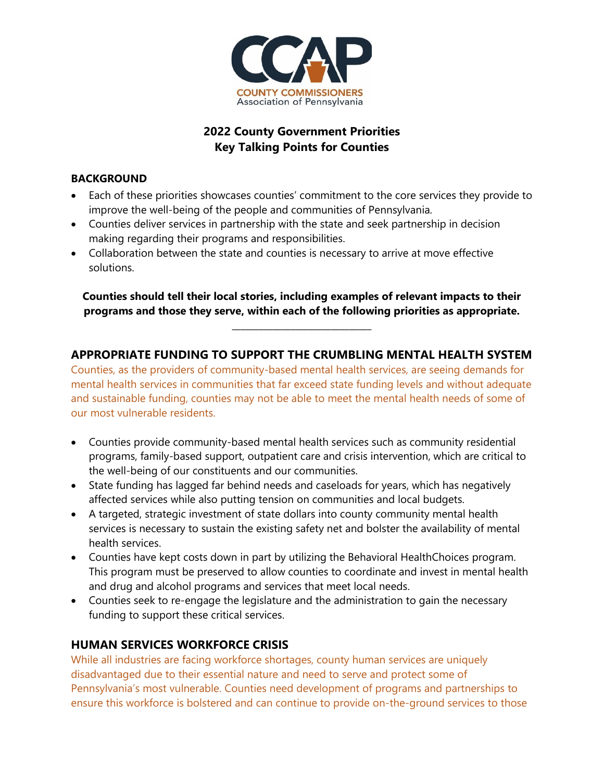

# **2022 County Government Priorities Key Talking Points for Counties**

#### **BACKGROUND**

- Each of these priorities showcases counties' commitment to the core services they provide to improve the well-being of the people and communities of Pennsylvania.
- Counties deliver services in partnership with the state and seek partnership in decision making regarding their programs and responsibilities.
- Collaboration between the state and counties is necessary to arrive at move effective solutions.

**Counties should tell their local stories, including examples of relevant impacts to their programs and those they serve, within each of the following priorities as appropriate.**

**\_\_\_\_\_\_\_\_\_\_\_\_\_\_\_\_\_\_\_\_\_\_\_\_\_\_\_\_\_\_\_**

### **APPROPRIATE FUNDING TO SUPPORT THE CRUMBLING MENTAL HEALTH SYSTEM**

Counties, as the providers of community-based mental health services, are seeing demands for mental health services in communities that far exceed state funding levels and without adequate and sustainable funding, counties may not be able to meet the mental health needs of some of our most vulnerable residents.

- Counties provide community-based mental health services such as community residential programs, family-based support, outpatient care and crisis intervention, which are critical to the well-being of our constituents and our communities.
- State funding has lagged far behind needs and caseloads for years, which has negatively affected services while also putting tension on communities and local budgets.
- A targeted, strategic investment of state dollars into county community mental health services is necessary to sustain the existing safety net and bolster the availability of mental health services.
- Counties have kept costs down in part by utilizing the Behavioral HealthChoices program. This program must be preserved to allow counties to coordinate and invest in mental health and drug and alcohol programs and services that meet local needs.
- Counties seek to re-engage the legislature and the administration to gain the necessary funding to support these critical services.

### **HUMAN SERVICES WORKFORCE CRISIS**

While all industries are facing workforce shortages, county human services are uniquely disadvantaged due to their essential nature and need to serve and protect some of Pennsylvania's most vulnerable. Counties need development of programs and partnerships to ensure this workforce is bolstered and can continue to provide on-the-ground services to those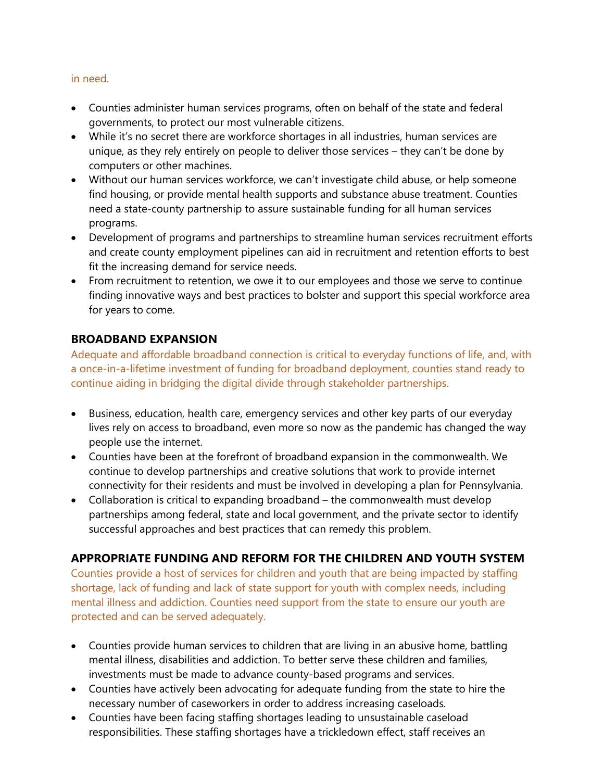#### in need.

- Counties administer human services programs, often on behalf of the state and federal governments, to protect our most vulnerable citizens.
- While it's no secret there are workforce shortages in all industries, human services are unique, as they rely entirely on people to deliver those services – they can't be done by computers or other machines.
- Without our human services workforce, we can't investigate child abuse, or help someone find housing, or provide mental health supports and substance abuse treatment. Counties need a state-county partnership to assure sustainable funding for all human services programs.
- Development of programs and partnerships to streamline human services recruitment efforts and create county employment pipelines can aid in recruitment and retention efforts to best fit the increasing demand for service needs.
- From recruitment to retention, we owe it to our employees and those we serve to continue finding innovative ways and best practices to bolster and support this special workforce area for years to come.

### **BROADBAND EXPANSION**

Adequate and affordable broadband connection is critical to everyday functions of life, and, with a once-in-a-lifetime investment of funding for broadband deployment, counties stand ready to continue aiding in bridging the digital divide through stakeholder partnerships.

- Business, education, health care, emergency services and other key parts of our everyday lives rely on access to broadband, even more so now as the pandemic has changed the way people use the internet.
- Counties have been at the forefront of broadband expansion in the commonwealth. We continue to develop partnerships and creative solutions that work to provide internet connectivity for their residents and must be involved in developing a plan for Pennsylvania.
- Collaboration is critical to expanding broadband the commonwealth must develop partnerships among federal, state and local government, and the private sector to identify successful approaches and best practices that can remedy this problem.

# **APPROPRIATE FUNDING AND REFORM FOR THE CHILDREN AND YOUTH SYSTEM**

Counties provide a host of services for children and youth that are being impacted by staffing shortage, lack of funding and lack of state support for youth with complex needs, including mental illness and addiction. Counties need support from the state to ensure our youth are protected and can be served adequately.

- Counties provide human services to children that are living in an abusive home, battling mental illness, disabilities and addiction. To better serve these children and families, investments must be made to advance county-based programs and services.
- Counties have actively been advocating for adequate funding from the state to hire the necessary number of caseworkers in order to address increasing caseloads.
- Counties have been facing staffing shortages leading to unsustainable caseload responsibilities. These staffing shortages have a trickledown effect, staff receives an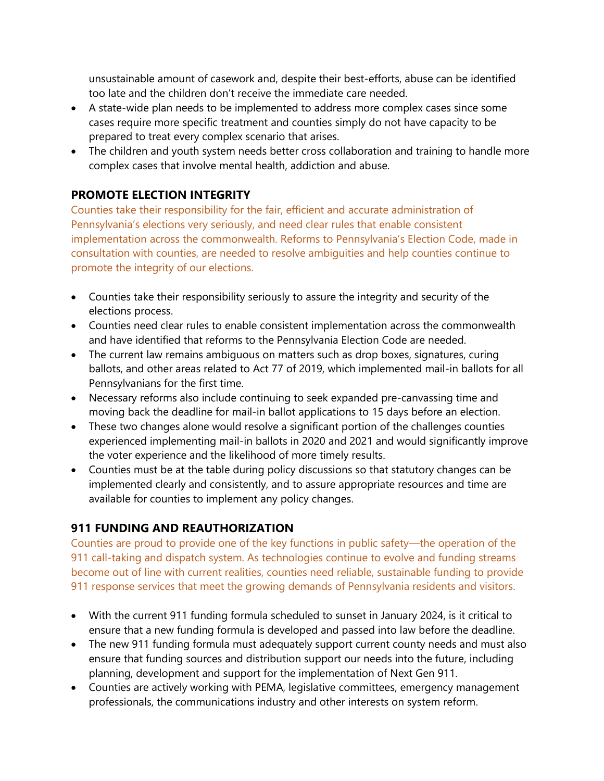unsustainable amount of casework and, despite their best-efforts, abuse can be identified too late and the children don't receive the immediate care needed.

- A state-wide plan needs to be implemented to address more complex cases since some cases require more specific treatment and counties simply do not have capacity to be prepared to treat every complex scenario that arises.
- The children and youth system needs better cross collaboration and training to handle more complex cases that involve mental health, addiction and abuse.

### **PROMOTE ELECTION INTEGRITY**

Counties take their responsibility for the fair, efficient and accurate administration of Pennsylvania's elections very seriously, and need clear rules that enable consistent implementation across the commonwealth. Reforms to Pennsylvania's Election Code, made in consultation with counties, are needed to resolve ambiguities and help counties continue to promote the integrity of our elections.

- Counties take their responsibility seriously to assure the integrity and security of the elections process.
- Counties need clear rules to enable consistent implementation across the commonwealth and have identified that reforms to the Pennsylvania Election Code are needed.
- The current law remains ambiguous on matters such as drop boxes, signatures, curing ballots, and other areas related to Act 77 of 2019, which implemented mail-in ballots for all Pennsylvanians for the first time.
- Necessary reforms also include continuing to seek expanded pre-canvassing time and moving back the deadline for mail-in ballot applications to 15 days before an election.
- These two changes alone would resolve a significant portion of the challenges counties experienced implementing mail-in ballots in 2020 and 2021 and would significantly improve the voter experience and the likelihood of more timely results.
- Counties must be at the table during policy discussions so that statutory changes can be implemented clearly and consistently, and to assure appropriate resources and time are available for counties to implement any policy changes.

# **911 FUNDING AND REAUTHORIZATION**

Counties are proud to provide one of the key functions in public safety—the operation of the 911 call-taking and dispatch system. As technologies continue to evolve and funding streams become out of line with current realities, counties need reliable, sustainable funding to provide 911 response services that meet the growing demands of Pennsylvania residents and visitors.

- With the current 911 funding formula scheduled to sunset in January 2024, is it critical to ensure that a new funding formula is developed and passed into law before the deadline.
- The new 911 funding formula must adequately support current county needs and must also ensure that funding sources and distribution support our needs into the future, including planning, development and support for the implementation of Next Gen 911.
- Counties are actively working with PEMA, legislative committees, emergency management professionals, the communications industry and other interests on system reform.